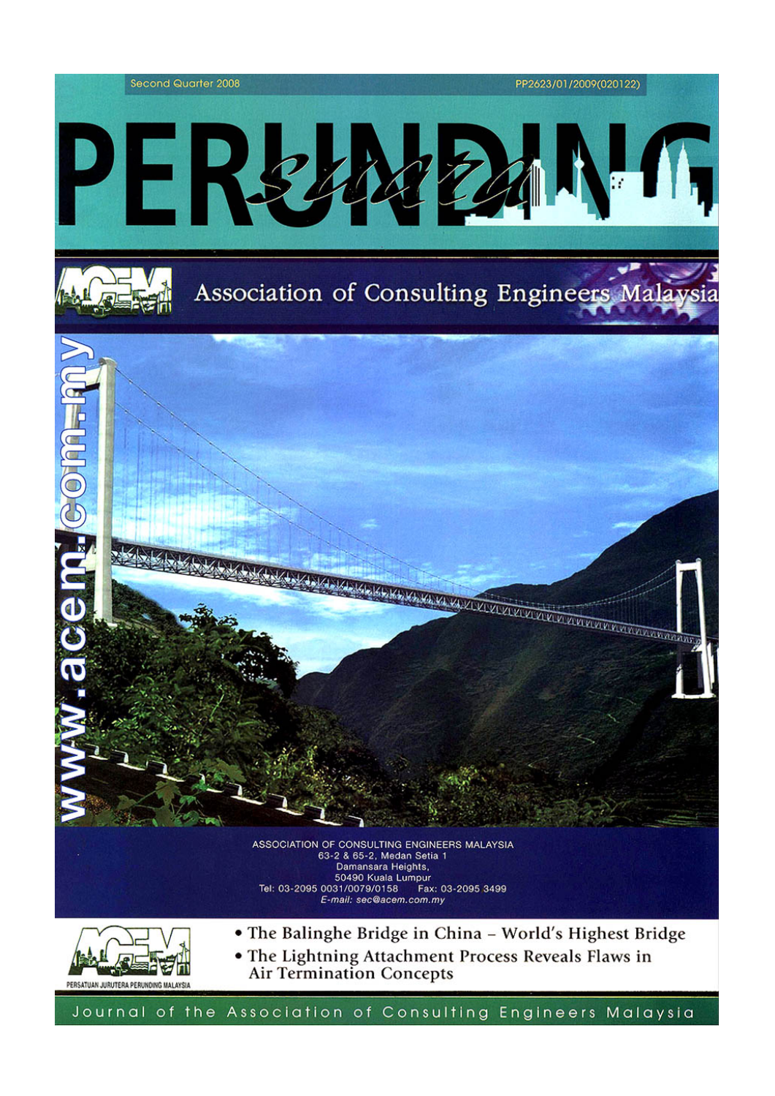



- The Balinghe Bridge in China World's Highest Bridge
- The Lightning Attachment Process Reveals Flaws in **Air Termination Concepts**

Journal of the Association of Consulting Engineers Malaysia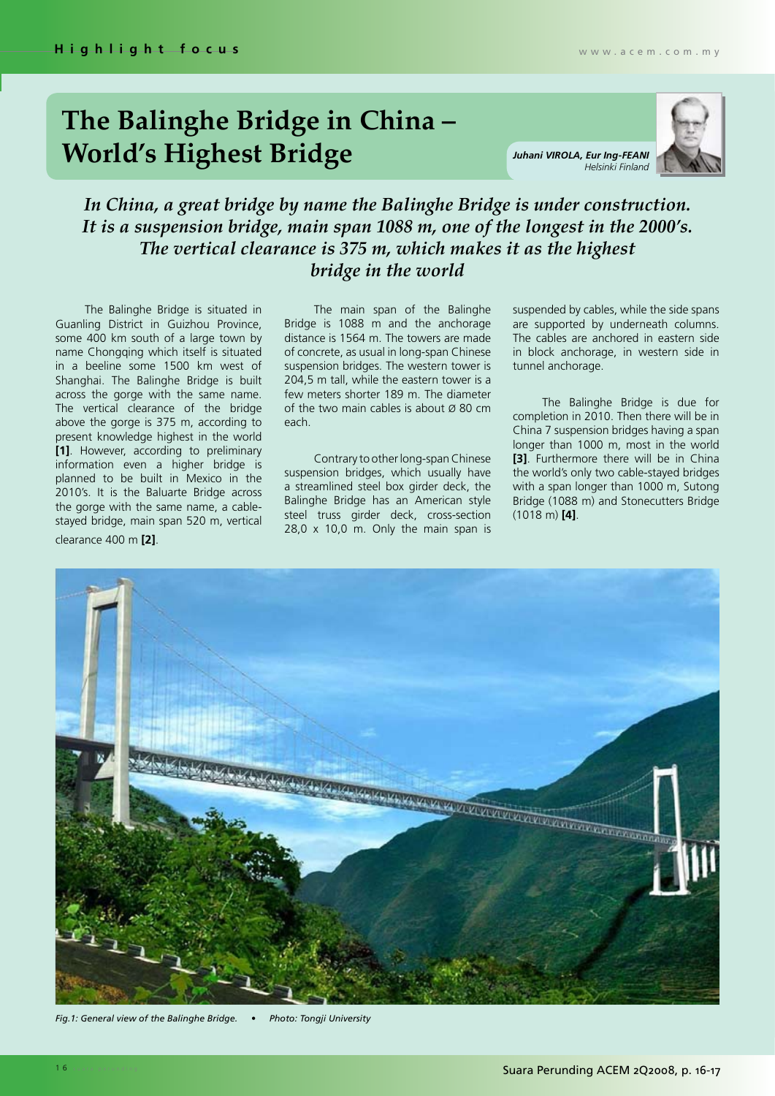## **The Balinghe Bridge in China – World's Highest Bridge** *Juhani VIROLA, Eur Ing-FEANI*

*Helsinki Finland*



## *In China, a great bridge by name the Balinghe Bridge is under construction. It is a suspension bridge, main span 1088 m, one of the longest in the 2000's. The vertical clearance is 375 m, which makes it as the highest bridge in the world*

The Balinghe Bridge is situated in Guanling District in Guizhou Province, some 400 km south of a large town by name Chongqing which itself is situated in a beeline some 1500 km west of Shanghai. The Balinghe Bridge is built across the gorge with the same name. The vertical clearance of the bridge above the gorge is 375 m, according to present knowledge highest in the world **[1]**. However, according to preliminary information even a higher bridge is planned to be built in Mexico in the 2010's. It is the Baluarte Bridge across the gorge with the same name, a cablestayed bridge, main span 520 m, vertical clearance 400 m **[2]**.

The main span of the Balinghe Bridge is 1088 m and the anchorage distance is 1564 m. The towers are made of concrete, as usual in long-span Chinese suspension bridges. The western tower is 204,5 m tall, while the eastern tower is a few meters shorter 189 m. The diameter of the two main cables is about  $\varnothing$  80 cm each.

Contrary to other long-span Chinese suspension bridges, which usually have a streamlined steel box girder deck, the Balinghe Bridge has an American style steel truss girder deck, cross-section 28,0 x 10,0 m. Only the main span is suspended by cables, while the side spans are supported by underneath columns. The cables are anchored in eastern side in block anchorage, in western side in tunnel anchorage.

The Balinghe Bridge is due for completion in 2010. Then there will be in China 7 suspension bridges having a span longer than 1000 m, most in the world **[3]**. Furthermore there will be in China the world's only two cable-stayed bridges with a span longer than 1000 m, Sutong Bridge (1088 m) and Stonecutters Bridge (1018 m) **[4]**.



*Fig.1: General view of the Balinghe Bridge. • Photo: Tongji University*